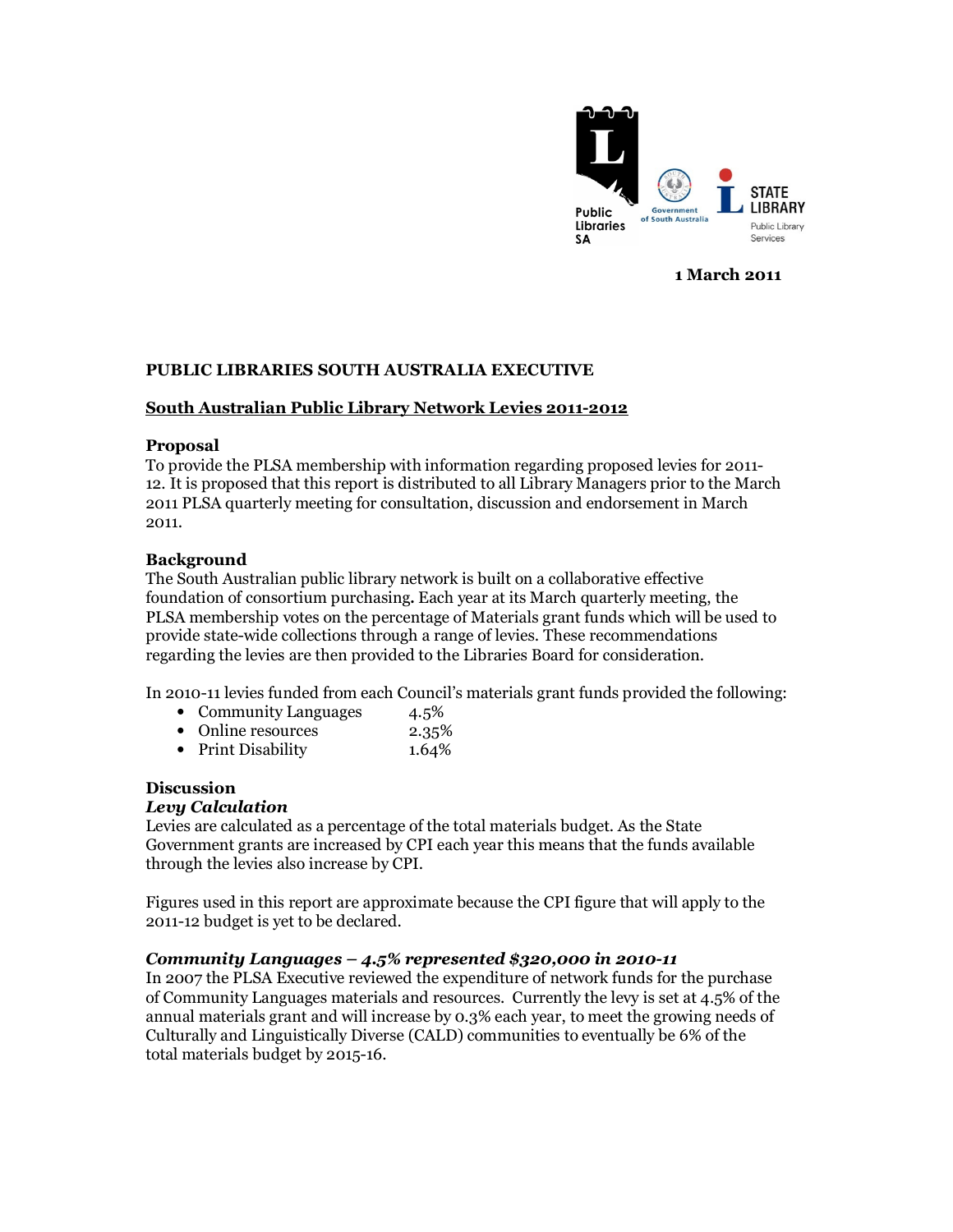

1 March 2011

## PUBLIC LIBRARIES SOUTH AUSTRALIA EXECUTIVE

## South Australian Public Library Network Levies 2011-2012

## Proposal

To provide the PLSA membership with information regarding proposed levies for 2011- 12. It is proposed that this report is distributed to all Library Managers prior to the March 2011 PLSA quarterly meeting for consultation, discussion and endorsement in March 2011.

## **Background**

The South Australian public library network is built on a collaborative effective foundation of consortium purchasing**.** Each year at its March quarterly meeting, the PLSA membership votes on the percentage of Materials grant funds which will be used to provide state-wide collections through a range of levies. These recommendations regarding the levies are then provided to the Libraries Board for consideration.

In 2010-11 levies funded from each Council's materials grant funds provided the following:

- Community Languages 4.5%
- Online resources 2.35%
- Print Disability 1.64%

## Discussion

## Levy Calculation

Levies are calculated as a percentage of the total materials budget. As the State Government grants are increased by CPI each year this means that the funds available through the levies also increase by CPI.

Figures used in this report are approximate because the CPI figure that will apply to the 2011-12 budget is yet to be declared.

## Community Languages  $-4.5%$  represented \$320,000 in 2010-11

In 2007 the PLSA Executive reviewed the expenditure of network funds for the purchase of Community Languages materials and resources. Currently the levy is set at 4.5% of the annual materials grant and will increase by 0.3% each year, to meet the growing needs of Culturally and Linguistically Diverse (CALD) communities to eventually be 6% of the total materials budget by 2015-16.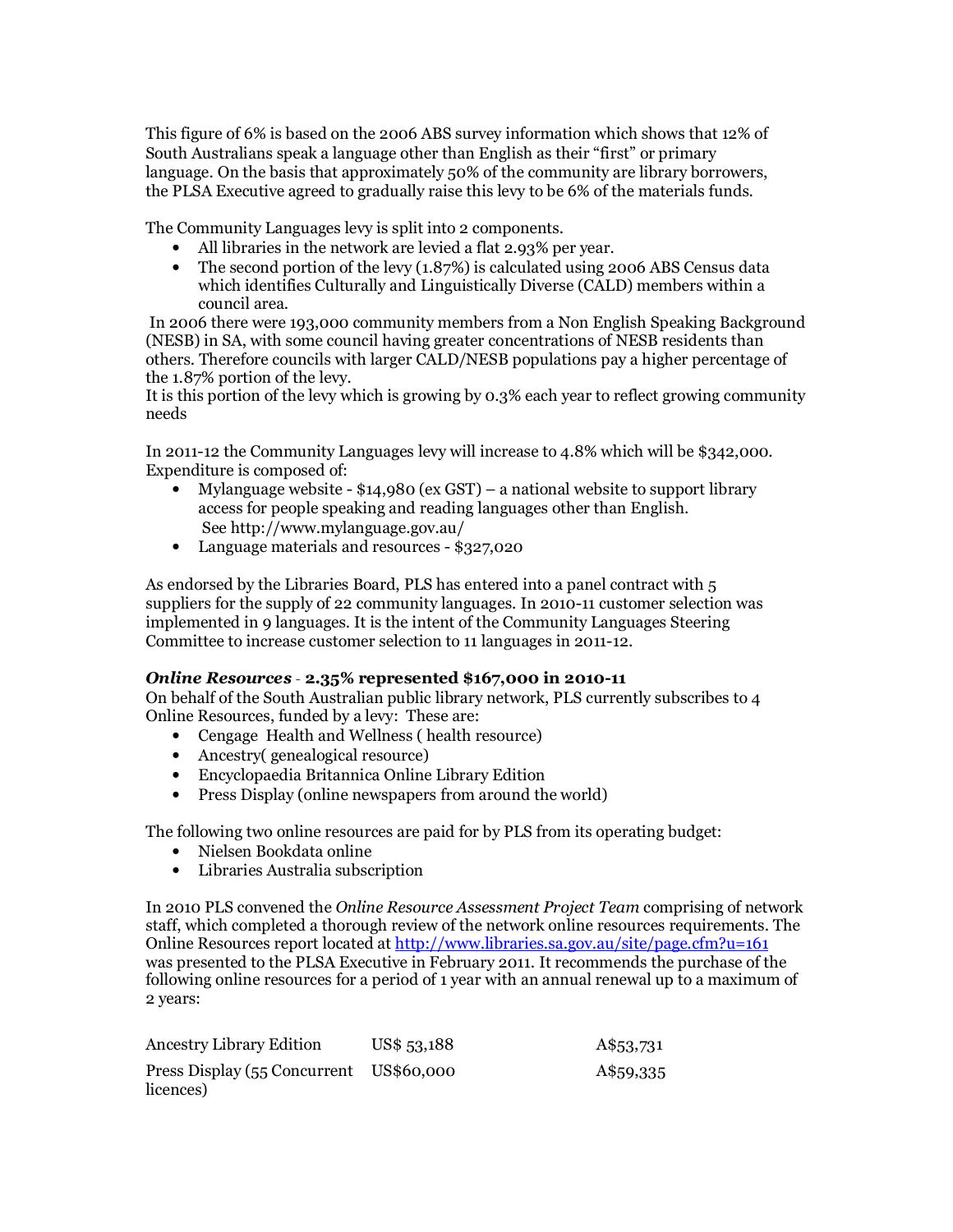This figure of 6% is based on the 2006 ABS survey information which shows that 12% of South Australians speak a language other than English as their "first" or primary language. On the basis that approximately 50% of the community are library borrowers, the PLSA Executive agreed to gradually raise this levy to be 6% of the materials funds.

The Community Languages levy is split into 2 components.

- All libraries in the network are levied a flat 2.93% per year.
- The second portion of the levy (1.87%) is calculated using 2006 ABS Census data which identifies Culturally and Linguistically Diverse (CALD) members within a council area.

 In 2006 there were 193,000 community members from a Non English Speaking Background (NESB) in SA, with some council having greater concentrations of NESB residents than others. Therefore councils with larger CALD/NESB populations pay a higher percentage of the 1.87% portion of the levy.

It is this portion of the levy which is growing by 0.3% each year to reflect growing community needs

In 2011-12 the Community Languages levy will increase to 4.8% which will be \$342,000. Expenditure is composed of:

- Mylanguage website \$14,980 (ex GST) a national website to support library access for people speaking and reading languages other than English. See http://www.mylanguage.gov.au/
- Language materials and resources \$327,020

As endorsed by the Libraries Board, PLS has entered into a panel contract with 5 suppliers for the supply of 22 community languages. In 2010-11 customer selection was implemented in 9 languages. It is the intent of the Community Languages Steering Committee to increase customer selection to 11 languages in 2011-12.

## Online Resources - 2.35% represented \$167,000 in 2010-11

On behalf of the South Australian public library network, PLS currently subscribes to 4 Online Resources, funded by a levy: These are:

- Cengage Health and Wellness ( health resource)
- Ancestry genealogical resource)
- Encyclopaedia Britannica Online Library Edition
- Press Display (online newspapers from around the world)

The following two online resources are paid for by PLS from its operating budget:

- Nielsen Bookdata online
- Libraries Australia subscription

In 2010 PLS convened the Online Resource Assessment Project Team comprising of network staff, which completed a thorough review of the network online resources requirements. The Online Resources report located at http://www.libraries.sa.gov.au/site/page.cfm?u=161 was presented to the PLSA Executive in February 2011. It recommends the purchase of the following online resources for a period of 1 year with an annual renewal up to a maximum of 2 years:

| <b>Ancestry Library Edition</b>                      | US\$ 53,188 | A\$53,731 |
|------------------------------------------------------|-------------|-----------|
| Press Display (55 Concurrent US\$60,000<br>licences) |             | A\$59,335 |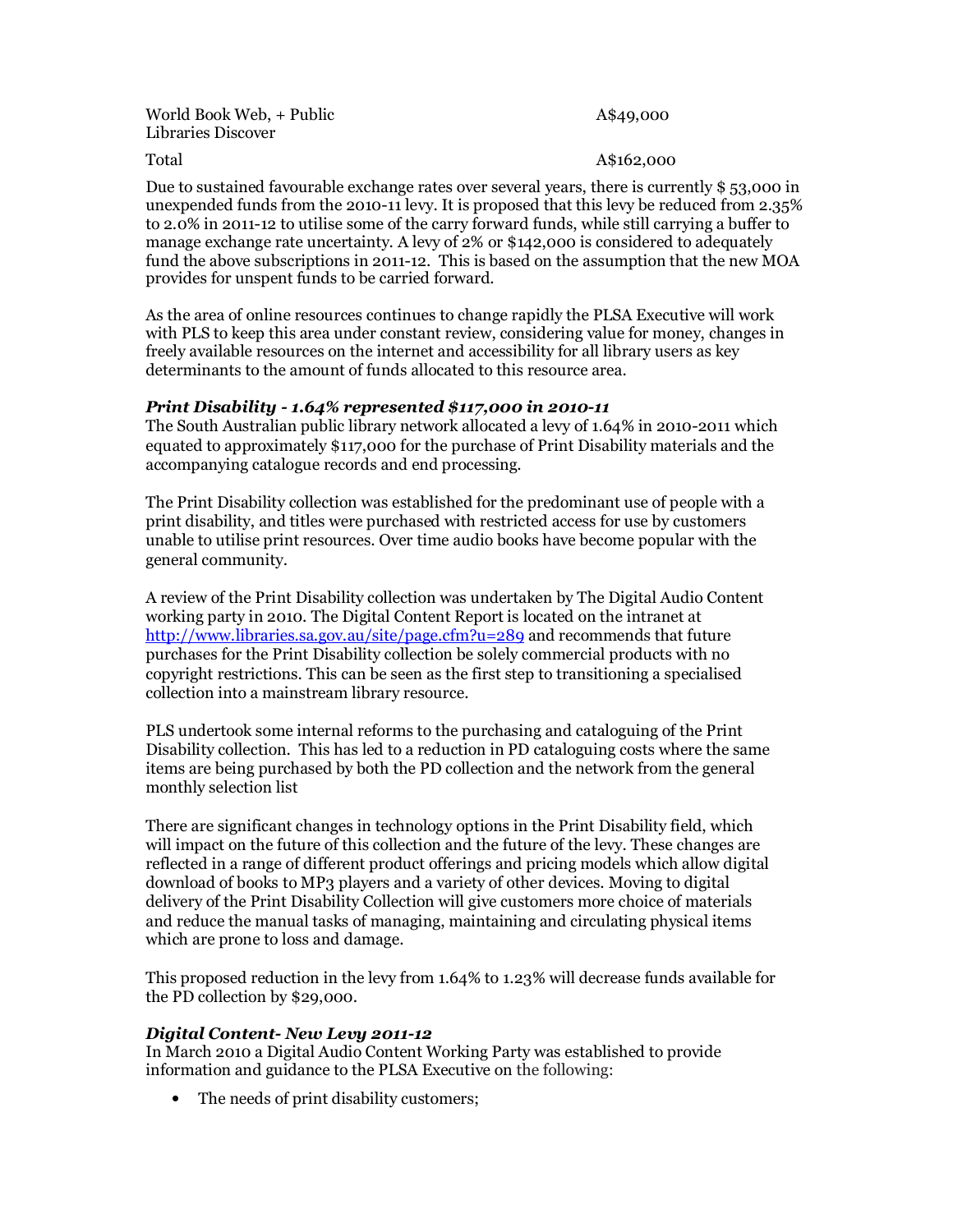World Book Web, + Public Libraries Discover

### A\$49,000

## Total A\$162,000

Due to sustained favourable exchange rates over several years, there is currently \$ 53,000 in unexpended funds from the 2010-11 levy. It is proposed that this levy be reduced from 2.35% to 2.0% in 2011-12 to utilise some of the carry forward funds, while still carrying a buffer to manage exchange rate uncertainty. A levy of 2% or \$142,000 is considered to adequately fund the above subscriptions in 2011-12. This is based on the assumption that the new MOA provides for unspent funds to be carried forward.

As the area of online resources continues to change rapidly the PLSA Executive will work with PLS to keep this area under constant review, considering value for money, changes in freely available resources on the internet and accessibility for all library users as key determinants to the amount of funds allocated to this resource area.

## Print Disability - 1.64% represented \$117,000 in 2010-11

The South Australian public library network allocated a levy of 1.64% in 2010-2011 which equated to approximately \$117,000 for the purchase of Print Disability materials and the accompanying catalogue records and end processing.

The Print Disability collection was established for the predominant use of people with a print disability, and titles were purchased with restricted access for use by customers unable to utilise print resources. Over time audio books have become popular with the general community.

A review of the Print Disability collection was undertaken by The Digital Audio Content working party in 2010. The Digital Content Report is located on the intranet at http://www.libraries.sa.gov.au/site/page.cfm?u=289 and recommends that future purchases for the Print Disability collection be solely commercial products with no copyright restrictions. This can be seen as the first step to transitioning a specialised collection into a mainstream library resource.

PLS undertook some internal reforms to the purchasing and cataloguing of the Print Disability collection. This has led to a reduction in PD cataloguing costs where the same items are being purchased by both the PD collection and the network from the general monthly selection list

There are significant changes in technology options in the Print Disability field, which will impact on the future of this collection and the future of the levy. These changes are reflected in a range of different product offerings and pricing models which allow digital download of books to MP3 players and a variety of other devices. Moving to digital delivery of the Print Disability Collection will give customers more choice of materials and reduce the manual tasks of managing, maintaining and circulating physical items which are prone to loss and damage.

This proposed reduction in the levy from 1.64% to 1.23% will decrease funds available for the PD collection by \$29,000.

## Digital Content- New Levy 2011-12

In March 2010 a Digital Audio Content Working Party was established to provide information and guidance to the PLSA Executive on the following:

• The needs of print disability customers;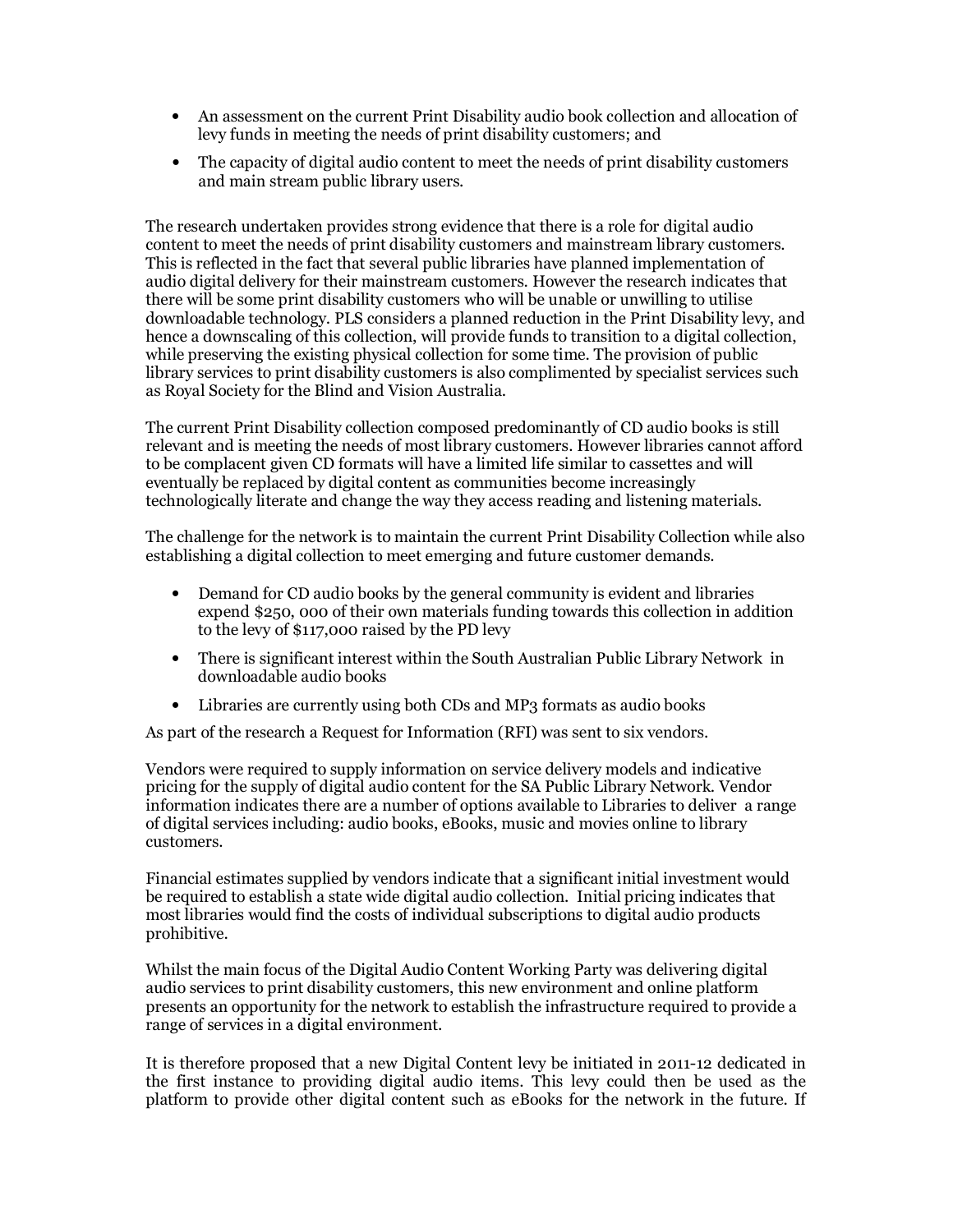- An assessment on the current Print Disability audio book collection and allocation of levy funds in meeting the needs of print disability customers; and
- The capacity of digital audio content to meet the needs of print disability customers and main stream public library users.

The research undertaken provides strong evidence that there is a role for digital audio content to meet the needs of print disability customers and mainstream library customers. This is reflected in the fact that several public libraries have planned implementation of audio digital delivery for their mainstream customers. However the research indicates that there will be some print disability customers who will be unable or unwilling to utilise downloadable technology. PLS considers a planned reduction in the Print Disability levy, and hence a downscaling of this collection, will provide funds to transition to a digital collection, while preserving the existing physical collection for some time. The provision of public library services to print disability customers is also complimented by specialist services such as Royal Society for the Blind and Vision Australia.

The current Print Disability collection composed predominantly of CD audio books is still relevant and is meeting the needs of most library customers. However libraries cannot afford to be complacent given CD formats will have a limited life similar to cassettes and will eventually be replaced by digital content as communities become increasingly technologically literate and change the way they access reading and listening materials.

The challenge for the network is to maintain the current Print Disability Collection while also establishing a digital collection to meet emerging and future customer demands.

- Demand for CD audio books by the general community is evident and libraries expend \$250, 000 of their own materials funding towards this collection in addition to the levy of \$117,000 raised by the PD levy
- There is significant interest within the South Australian Public Library Network in downloadable audio books
- Libraries are currently using both CDs and MP3 formats as audio books

As part of the research a Request for Information (RFI) was sent to six vendors.

Vendors were required to supply information on service delivery models and indicative pricing for the supply of digital audio content for the SA Public Library Network. Vendor information indicates there are a number of options available to Libraries to deliver a range of digital services including: audio books, eBooks, music and movies online to library customers.

Financial estimates supplied by vendors indicate that a significant initial investment would be required to establish a state wide digital audio collection. Initial pricing indicates that most libraries would find the costs of individual subscriptions to digital audio products prohibitive.

Whilst the main focus of the Digital Audio Content Working Party was delivering digital audio services to print disability customers, this new environment and online platform presents an opportunity for the network to establish the infrastructure required to provide a range of services in a digital environment.

It is therefore proposed that a new Digital Content levy be initiated in 2011-12 dedicated in the first instance to providing digital audio items. This levy could then be used as the platform to provide other digital content such as eBooks for the network in the future. If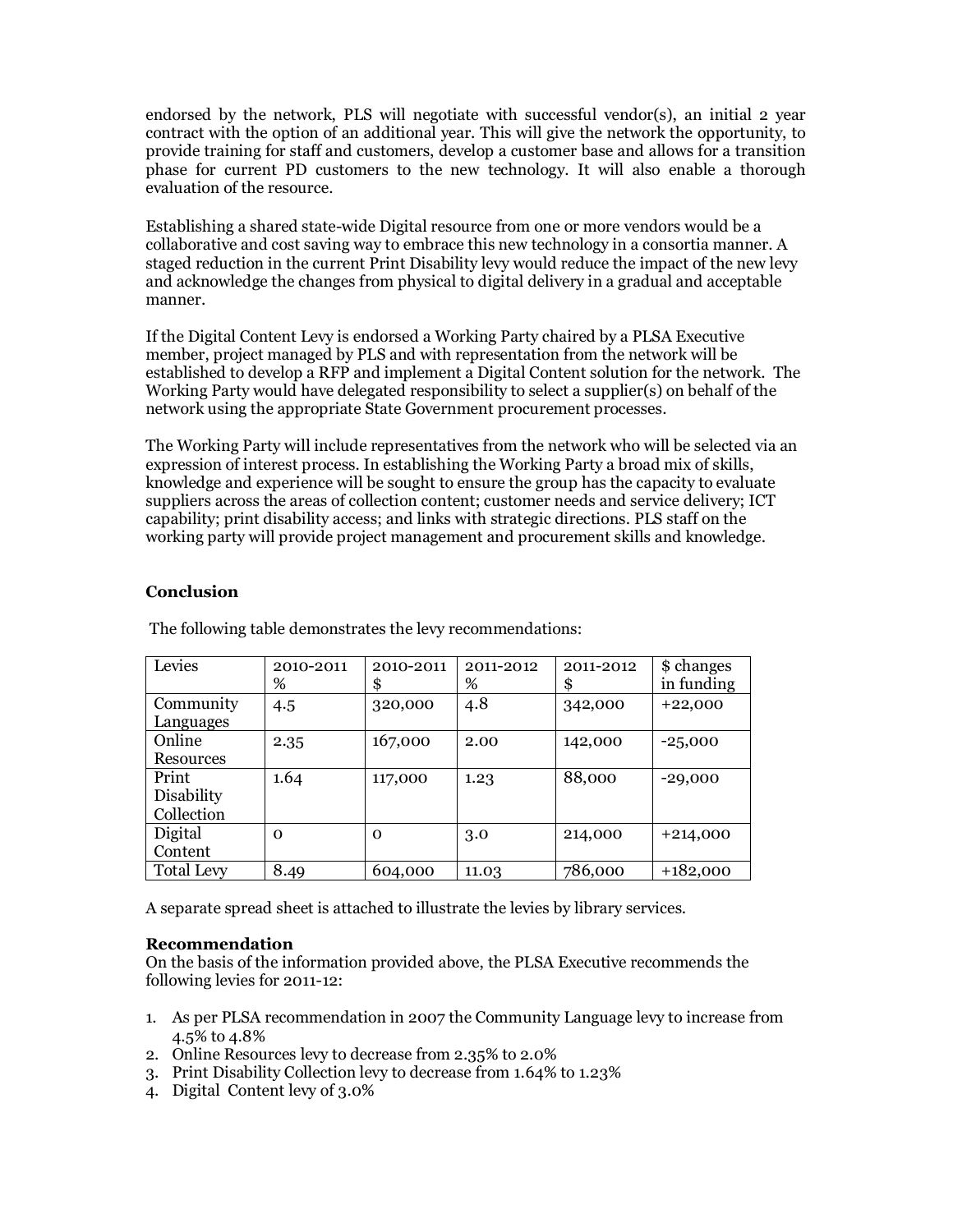endorsed by the network, PLS will negotiate with successful vendor(s), an initial 2 year contract with the option of an additional year. This will give the network the opportunity, to provide training for staff and customers, develop a customer base and allows for a transition phase for current PD customers to the new technology. It will also enable a thorough evaluation of the resource.

Establishing a shared state-wide Digital resource from one or more vendors would be a collaborative and cost saving way to embrace this new technology in a consortia manner. A staged reduction in the current Print Disability levy would reduce the impact of the new levy and acknowledge the changes from physical to digital delivery in a gradual and acceptable manner.

If the Digital Content Levy is endorsed a Working Party chaired by a PLSA Executive member, project managed by PLS and with representation from the network will be established to develop a RFP and implement a Digital Content solution for the network. The Working Party would have delegated responsibility to select a supplier(s) on behalf of the network using the appropriate State Government procurement processes.

The Working Party will include representatives from the network who will be selected via an expression of interest process. In establishing the Working Party a broad mix of skills, knowledge and experience will be sought to ensure the group has the capacity to evaluate suppliers across the areas of collection content; customer needs and service delivery; ICT capability; print disability access; and links with strategic directions. PLS staff on the working party will provide project management and procurement skills and knowledge.

## Conclusion

| Levies            | 2010-2011<br>% | 2010-2011<br>\$ | 2011-2012<br>% | 2011-2012<br>\$ | \$ changes<br>in funding |
|-------------------|----------------|-----------------|----------------|-----------------|--------------------------|
| Community         | 4.5            | 320,000         | 4.8            | 342,000         | $+22,000$                |
| Languages         |                |                 |                |                 |                          |
| Online            | 2.35           | 167,000         | 2.00           | 142,000         | $-25,000$                |
| Resources         |                |                 |                |                 |                          |
| Print             | 1.64           | 117,000         | 1.23           | 88,000          | $-29,000$                |
| Disability        |                |                 |                |                 |                          |
| Collection        |                |                 |                |                 |                          |
| Digital           | $\mathbf 0$    | $\mathbf 0$     | 3.0            | 214,000         | $+214,000$               |
| Content           |                |                 |                |                 |                          |
| <b>Total Levy</b> | 8.49           | 604,000         | 11.03          | 786,000         | $+182,000$               |

The following table demonstrates the levy recommendations:

A separate spread sheet is attached to illustrate the levies by library services.

## Recommendation

On the basis of the information provided above, the PLSA Executive recommends the following levies for 2011-12:

- 1. As per PLSA recommendation in 2007 the Community Language levy to increase from 4.5% to 4.8%
- 2. Online Resources levy to decrease from 2.35% to 2.0%
- 3. Print Disability Collection levy to decrease from 1.64% to 1.23%
- 4. Digital Content levy of 3.0%